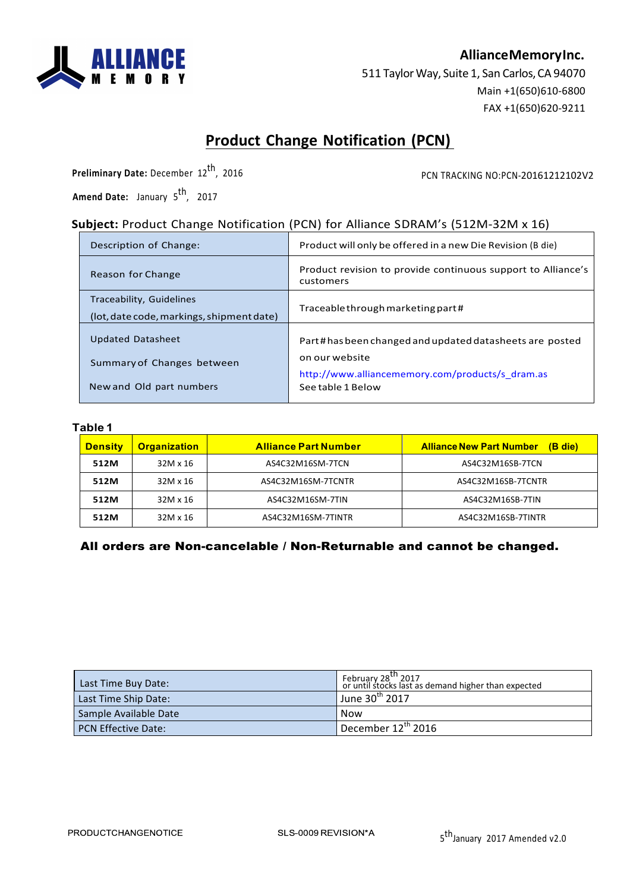

## **AllianceMemoryInc.**

511 Taylor Way, Suite 1, San Carlos, CA 94070 Main +1(650)610-6800 FAX +1(650)620-9211

# **Product Change Notification (PCN)**

**Preliminary Date:** December 12<sup>th</sup>, 2016

PCN TRACKING NO:PCN-20161212102V2

Amend Date: January 5<sup>th</sup>, 2017

# **Subject:** Product Change Notification (PCN) for Alliance SDRAM's (512M-32M x 16)

| Description of Change:                                                             | Product will only be offered in a new Die Revision (B die)                                                                                        |
|------------------------------------------------------------------------------------|---------------------------------------------------------------------------------------------------------------------------------------------------|
| Reason for Change                                                                  | Product revision to provide continuous support to Alliance's<br>customers                                                                         |
| Traceability, Guidelines<br>(lot, date code, markings, shipment date)              | Traceable through marketing part#                                                                                                                 |
| <b>Updated Datasheet</b><br>Summary of Changes between<br>New and Old part numbers | Part#hasbeen changed and updated datasheets are posted<br>on our website<br>http://www.alliancememory.com/products/s_dram.as<br>See table 1 Below |

#### **Table 1**

| <b>Density</b> | <b>Organization</b> | <b>Alliance Part Number</b> | <b>Alliance New Part Number</b><br>(B die) |  |
|----------------|---------------------|-----------------------------|--------------------------------------------|--|
| 512M           | 32M x 16            | AS4C32M16SM-7TCN            | AS4C32M16SB-7TCN                           |  |
| 512M           | 32M x 16            | AS4C32M16SM-7TCNTR          | AS4C32M16SB-7TCNTR                         |  |
| 512M           | 32M x 16            | AS4C32M16SM-7TIN            | AS4C32M16SB-7TIN                           |  |
| 512M           | 32M x 16            | AS4C32M16SM-7TINTR          | AS4C32M16SB-7TINTR                         |  |

### All orders are Non-cancelable / Non-Returnable and cannot be changed.

| Last Time Buy Date:   | February 28 <sup>th</sup> 2017<br>or until stocks last as demand higher than expected |
|-----------------------|---------------------------------------------------------------------------------------|
| Last Time Ship Date:  | June 30 <sup>th</sup> 2017                                                            |
| Sample Available Date | Now                                                                                   |
| PCN Effective Date:   | $"$ December 12 <sup>th</sup> 2016                                                    |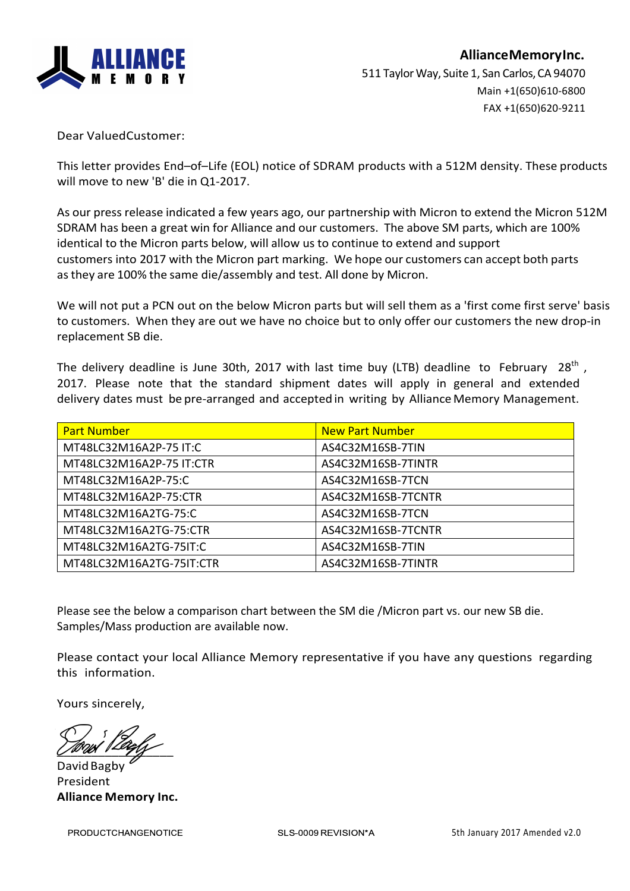

Dear ValuedCustomer: 

This letter provides End-of-Life (EOL) notice of SDRAM products with a 512M density. These products will move to new 'B' die in Q1-2017.

As our press release indicated a few years ago, our partnership with Micron to extend the Micron 512M SDRAM has been a great win for Alliance and our customers. The above SM parts, which are 100% identical to the Micron parts below, will allow us to continue to extend and support customers into 2017 with the Micron part marking. We hope our customers can accept both parts as they are 100% the same die/assembly and test. All done by Micron.

We will not put a PCN out on the below Micron parts but will sell them as a 'first come first serve' basis to customers. When they are out we have no choice but to only offer our customers the new drop-in replacement SB die.

The delivery deadline is June 30th, 2017 with last time buy (LTB) deadline to February 28<sup>th</sup>, 2017. Please note that the standard shipment dates will apply in general and extended delivery dates must be pre-arranged and accepted in writing by Alliance Memory Management.

| <b>Part Number</b>       | <b>New Part Number</b> |
|--------------------------|------------------------|
| MT48LC32M16A2P-75 IT:C   | AS4C32M16SB-7TIN       |
| MT48LC32M16A2P-75 IT:CTR | AS4C32M16SB-7TINTR     |
| MT48LC32M16A2P-75:C      | AS4C32M16SB-7TCN       |
| MT48LC32M16A2P-75:CTR    | AS4C32M16SB-7TCNTR     |
| MT48LC32M16A2TG-75:C     | AS4C32M16SB-7TCN       |
| MT48LC32M16A2TG-75:CTR   | AS4C32M16SB-7TCNTR     |
| MT48LC32M16A2TG-75IT:C   | AS4C32M16SB-7TIN       |
| MT48LC32M16A2TG-75IT:CTR | AS4C32M16SB-7TINTR     |

Please see the below a comparison chart between the SM die /Micron part vs. our new SB die. Samples/Mass production are available now.

Please contact your local Alliance Memory representative if you have any questions regarding this information.

Yours sincerely,

 $\angle$ 

David Bagby President **Alliance Memory Inc.**

**PRODUCTCHANGENOTICE**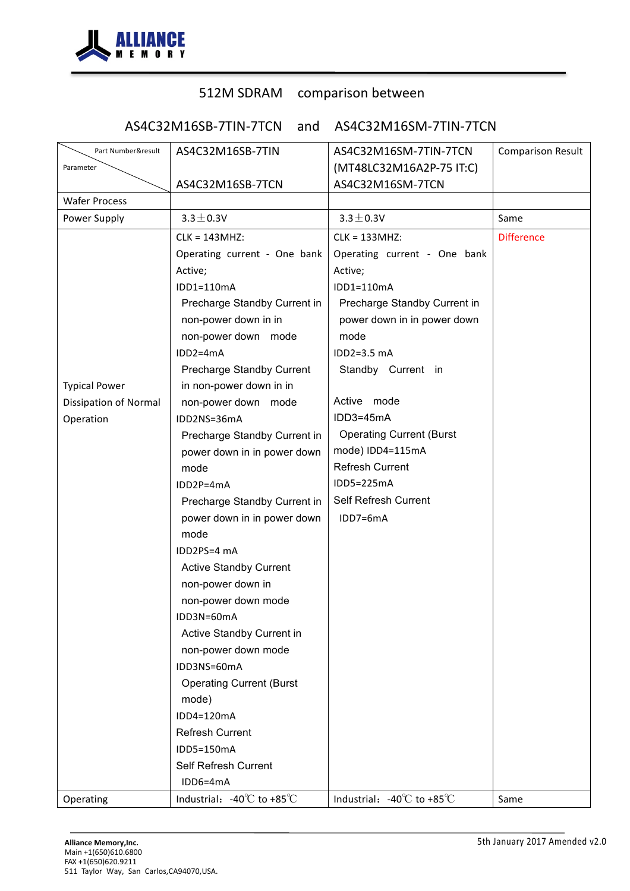

# 512M SDRAM comparison between

AS4C32M16SB-7TIN-7TCN and AS4C32M16SM-7TIN-7TCN

| Part Number&result           | AS4C32M16SB-7TIN                               | AS4C32M16SM-7TIN-7TCN                          | <b>Comparison Result</b> |
|------------------------------|------------------------------------------------|------------------------------------------------|--------------------------|
| Parameter                    |                                                | (MT48LC32M16A2P-75 IT:C)                       |                          |
|                              | AS4C32M16SB-7TCN                               | AS4C32M16SM-7TCN                               |                          |
| <b>Wafer Process</b>         |                                                |                                                |                          |
| Power Supply                 | $3.3 \pm 0.3V$                                 | $3.3 \pm 0.3V$                                 | Same                     |
|                              | $CLK = 143MHz$                                 | CLK = 133MHZ:                                  | <b>Difference</b>        |
|                              | Operating current - One bank                   | Operating current - One bank                   |                          |
|                              | Active;                                        | Active;                                        |                          |
|                              | IDD1=110mA                                     | IDD1=110mA                                     |                          |
|                              | Precharge Standby Current in                   | Precharge Standby Current in                   |                          |
|                              | non-power down in in                           | power down in in power down                    |                          |
|                              | non-power down mode                            | mode                                           |                          |
|                              | $IDD2=4mA$                                     | IDD2=3.5 mA                                    |                          |
|                              | Precharge Standby Current                      | Standby Current in                             |                          |
| <b>Typical Power</b>         | in non-power down in in                        |                                                |                          |
| <b>Dissipation of Normal</b> | non-power down mode                            | Active mode                                    |                          |
| Operation                    | IDD2NS=36mA                                    | IDD3=45mA                                      |                          |
|                              | Precharge Standby Current in                   | <b>Operating Current (Burst</b>                |                          |
|                              | power down in in power down                    | mode) IDD4=115mA                               |                          |
|                              | mode                                           | <b>Refresh Current</b>                         |                          |
|                              | IDD2P=4mA                                      | IDD5=225mA                                     |                          |
|                              | Precharge Standby Current in                   | Self Refresh Current                           |                          |
|                              | power down in in power down                    | IDD7=6mA                                       |                          |
|                              | mode                                           |                                                |                          |
|                              | IDD2PS=4 mA                                    |                                                |                          |
|                              | <b>Active Standby Current</b>                  |                                                |                          |
|                              | non-power down in                              |                                                |                          |
|                              | non-power down mode                            |                                                |                          |
|                              | IDD3N=60mA                                     |                                                |                          |
|                              | Active Standby Current in                      |                                                |                          |
|                              | non-power down mode                            |                                                |                          |
|                              | IDD3NS=60mA                                    |                                                |                          |
|                              | <b>Operating Current (Burst</b>                |                                                |                          |
|                              | mode)                                          |                                                |                          |
|                              | IDD4=120mA                                     |                                                |                          |
|                              | <b>Refresh Current</b>                         |                                                |                          |
|                              | IDD5=150mA                                     |                                                |                          |
|                              | Self Refresh Current                           |                                                |                          |
|                              | IDD6=4mA                                       |                                                |                          |
| Operating                    | Industrial: $-40^{\circ}$ C to $+85^{\circ}$ C | Industrial: $-40^{\circ}$ C to $+85^{\circ}$ C | Same                     |